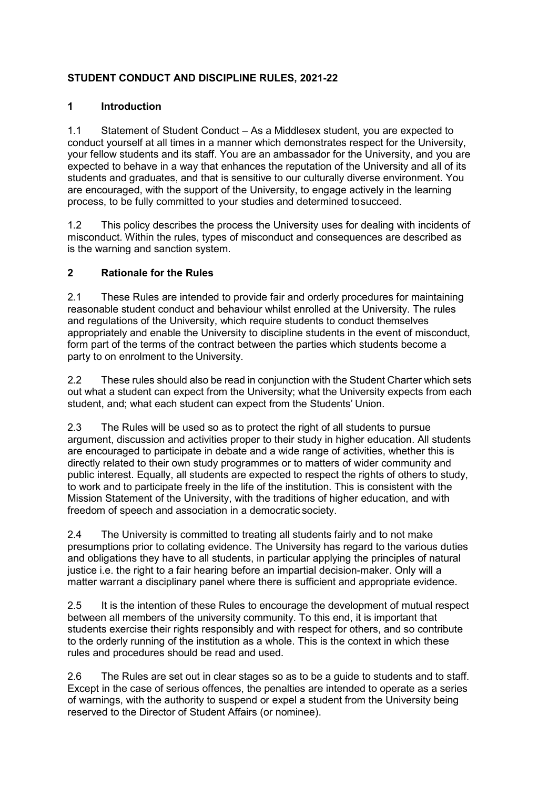# **STUDENT CONDUCT AND DISCIPLINE RULES, 2021-22**

# **1 Introduction**

1.1 Statement of Student Conduct – As a Middlesex student, you are expected to conduct yourself at all times in a manner which demonstrates respect for the University, your fellow students and its staff. You are an ambassador for the University, and you are expected to behave in a way that enhances the reputation of the University and all of its students and graduates, and that is sensitive to our culturally diverse environment. You are encouraged, with the support of the University, to engage actively in the learning process, to be fully committed to your studies and determined tosucceed.

1.2 This policy describes the process the University uses for dealing with incidents of misconduct. Within the rules, types of misconduct and consequences are described as is the warning and sanction system.

# **2 Rationale for the Rules**

2.1 These Rules are intended to provide fair and orderly procedures for maintaining reasonable student conduct and behaviour whilst enrolled at the University. The rules and regulations of the University, which require students to conduct themselves appropriately and enable the University to discipline students in the event of misconduct, form part of the terms of the contract between the parties which students become a party to on enrolment to the University.

2.2 These rules should also be read in conjunction with the Student Charter which sets out what a student can expect from the University; what the University expects from each student, and; what each student can expect from the Students' Union.

2.3 The Rules will be used so as to protect the right of all students to pursue argument, discussion and activities proper to their study in higher education. All students are encouraged to participate in debate and a wide range of activities, whether this is directly related to their own study programmes or to matters of wider community and public interest. Equally, all students are expected to respect the rights of others to study, to work and to participate freely in the life of the institution. This is consistent with the Mission Statement of the University, with the traditions of higher education, and with freedom of speech and association in a democratic society.

2.4 The University is committed to treating all students fairly and to not make presumptions prior to collating evidence. The University has regard to the various duties and obligations they have to all students, in particular applying the principles of natural justice i.e. the right to a fair hearing before an impartial decision-maker. Only will a matter warrant a disciplinary panel where there is sufficient and appropriate evidence.

2.5 It is the intention of these Rules to encourage the development of mutual respect between all members of the university community. To this end, it is important that students exercise their rights responsibly and with respect for others, and so contribute to the orderly running of the institution as a whole. This is the context in which these rules and procedures should be read and used.

2.6 The Rules are set out in clear stages so as to be a guide to students and to staff. Except in the case of serious offences, the penalties are intended to operate as a series of warnings, with the authority to suspend or expel a student from the University being reserved to the Director of Student Affairs (or nominee).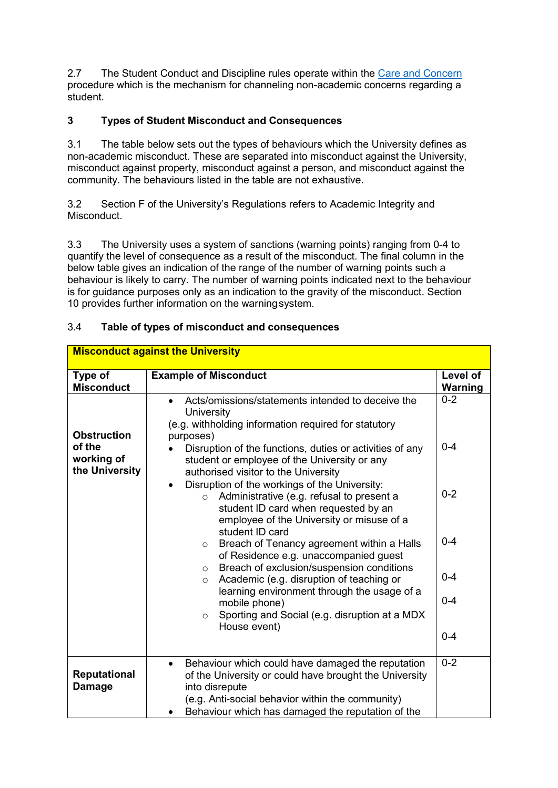2.7 The Student Conduct and Discipline rules operate within the [Care and Concern](https://unihub.mdx.ac.uk/support/care-and-concern) procedure which is the mechanism for channeling non-academic concerns regarding a student.

# **3 Types of Student Misconduct and Consequences**

3.1 The table below sets out the types of behaviours which the University defines as non-academic misconduct. These are separated into misconduct against the University, misconduct against property, misconduct against a person, and misconduct against the community. The behaviours listed in the table are not exhaustive.

3.2 Section F of the University's Regulations refers to Academic Integrity and Misconduct.

3.3 The University uses a system of sanctions (warning points) ranging from 0-4 to quantify the level of consequence as a result of the misconduct. The final column in the below table gives an indication of the range of the number of warning points such a behaviour is likely to carry. The number of warning points indicated next to the behaviour is for guidance purposes only as an indication to the gravity of the misconduct. Section 10 provides further information on the warningsystem.

| <b>Misconduct against the University</b>                     |                                                                                                                                                                                                                                                                                          |                            |
|--------------------------------------------------------------|------------------------------------------------------------------------------------------------------------------------------------------------------------------------------------------------------------------------------------------------------------------------------------------|----------------------------|
| Type of<br><b>Misconduct</b>                                 | <b>Example of Misconduct</b>                                                                                                                                                                                                                                                             | Level of<br><b>Warning</b> |
| <b>Obstruction</b><br>of the<br>working of<br>the University | Acts/omissions/statements intended to deceive the<br>University<br>(e.g. withholding information required for statutory<br>purposes)<br>Disruption of the functions, duties or activities of any<br>student or employee of the University or any<br>authorised visitor to the University | $0 - 2$<br>$0 - 4$         |
|                                                              | Disruption of the workings of the University:<br>$\bullet$<br>Administrative (e.g. refusal to present a<br>$\circ$<br>student ID card when requested by an<br>employee of the University or misuse of a<br>student ID card                                                               | $0 - 2$                    |
|                                                              | Breach of Tenancy agreement within a Halls<br>$\circ$<br>of Residence e.g. unaccompanied guest                                                                                                                                                                                           | $0 - 4$                    |
|                                                              | Breach of exclusion/suspension conditions<br>$\circ$<br>Academic (e.g. disruption of teaching or<br>$\circ$                                                                                                                                                                              | $0 - 4$                    |
|                                                              | learning environment through the usage of a<br>mobile phone)<br>Sporting and Social (e.g. disruption at a MDX<br>$\circ$<br>House event)                                                                                                                                                 | $0 - 4$                    |
|                                                              |                                                                                                                                                                                                                                                                                          | $0 - 4$                    |
| <b>Reputational</b><br><b>Damage</b>                         | Behaviour which could have damaged the reputation<br>$\bullet$<br>of the University or could have brought the University<br>into disrepute<br>(e.g. Anti-social behavior within the community)<br>Behaviour which has damaged the reputation of the                                      | $0 - 2$                    |

#### 3.4 **Table of types of misconduct and consequences**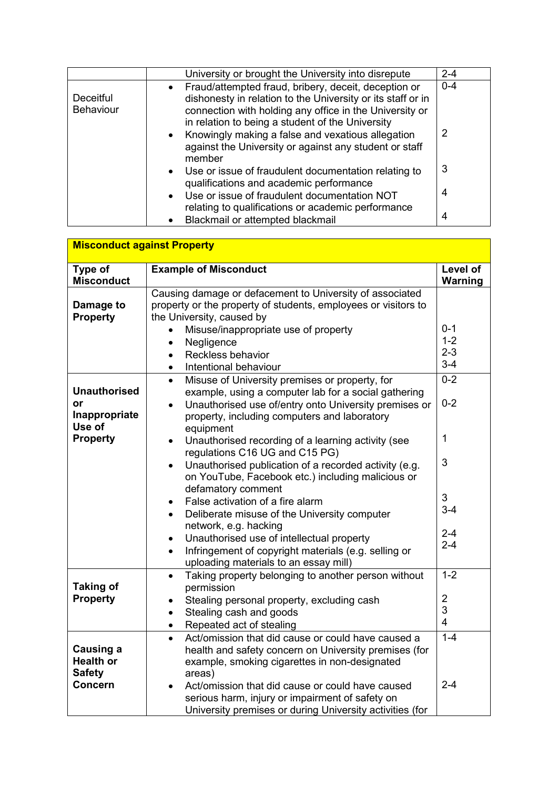|                               | University or brought the University into disrepute                                                                                                                                                                                                                                                                                                                         | $2 - 4$      |
|-------------------------------|-----------------------------------------------------------------------------------------------------------------------------------------------------------------------------------------------------------------------------------------------------------------------------------------------------------------------------------------------------------------------------|--------------|
| Deceitful<br><b>Behaviour</b> | Fraud/attempted fraud, bribery, deceit, deception or<br>$\bullet$<br>dishonesty in relation to the University or its staff or in<br>connection with holding any office in the University or<br>in relation to being a student of the University<br>Knowingly making a false and vexatious allegation<br>$\bullet$<br>against the University or against any student or staff | $0 - 4$<br>2 |
|                               | member<br>Use or issue of fraudulent documentation relating to<br>$\bullet$<br>qualifications and academic performance                                                                                                                                                                                                                                                      | 3            |
|                               | Use or issue of fraudulent documentation NOT<br>$\bullet$<br>relating to qualifications or academic performance<br>Blackmail or attempted blackmail                                                                                                                                                                                                                         | 4<br>4       |
|                               |                                                                                                                                                                                                                                                                                                                                                                             |              |
| Missonalust sesingt Dranarty  |                                                                                                                                                                                                                                                                                                                                                                             |              |

| <b>Misconduct against Property</b>             |                                                                                                                                                                                     |                |
|------------------------------------------------|-------------------------------------------------------------------------------------------------------------------------------------------------------------------------------------|----------------|
|                                                |                                                                                                                                                                                     |                |
| Type of                                        | <b>Example of Misconduct</b>                                                                                                                                                        | Level of       |
| <b>Misconduct</b>                              |                                                                                                                                                                                     | Warning        |
| Damage to<br><b>Property</b>                   | Causing damage or defacement to University of associated<br>property or the property of students, employees or visitors to<br>the University, caused by                             |                |
|                                                | Misuse/inappropriate use of property                                                                                                                                                | $0 - 1$        |
|                                                | Negligence                                                                                                                                                                          | $1 - 2$        |
|                                                | Reckless behavior<br>$\bullet$                                                                                                                                                      | $2 - 3$        |
|                                                | Intentional behaviour                                                                                                                                                               | $3-4$          |
|                                                | Misuse of University premises or property, for<br>$\bullet$                                                                                                                         | $0 - 2$        |
| <b>Unauthorised</b>                            | example, using a computer lab for a social gathering                                                                                                                                |                |
| or<br>Inappropriate<br>Use of                  | Unauthorised use of/entry onto University premises or<br>$\bullet$<br>property, including computers and laboratory<br>equipment                                                     | $0 - 2$        |
| <b>Property</b>                                | Unauthorised recording of a learning activity (see<br>$\bullet$<br>regulations C16 UG and C15 PG)                                                                                   | 1              |
|                                                | Unauthorised publication of a recorded activity (e.g.<br>$\bullet$<br>on YouTube, Facebook etc.) including malicious or<br>defamatory comment                                       | 3              |
|                                                | False activation of a fire alarm<br>$\bullet$                                                                                                                                       | 3              |
|                                                | Deliberate misuse of the University computer<br>$\bullet$                                                                                                                           | $3-4$          |
|                                                | network, e.g. hacking<br>Unauthorised use of intellectual property                                                                                                                  | $2 - 4$        |
|                                                | $\bullet$<br>Infringement of copyright materials (e.g. selling or<br>$\bullet$<br>uploading materials to an essay mill)                                                             | $2 - 4$        |
| <b>Taking of</b>                               | Taking property belonging to another person without<br>$\bullet$<br>permission                                                                                                      | $1 - 2$        |
| <b>Property</b>                                | Stealing personal property, excluding cash                                                                                                                                          | $\overline{2}$ |
|                                                | Stealing cash and goods<br>$\bullet$                                                                                                                                                | 3              |
|                                                | Repeated act of stealing<br>$\bullet$                                                                                                                                               | $\overline{4}$ |
| Causing a<br><b>Health or</b><br><b>Safety</b> | Act/omission that did cause or could have caused a<br>$\bullet$<br>health and safety concern on University premises (for<br>example, smoking cigarettes in non-designated<br>areas) | $1 - 4$        |
| <b>Concern</b>                                 | Act/omission that did cause or could have caused<br>$\bullet$<br>serious harm, injury or impairment of safety on<br>University premises or during University activities (for        | $2 - 4$        |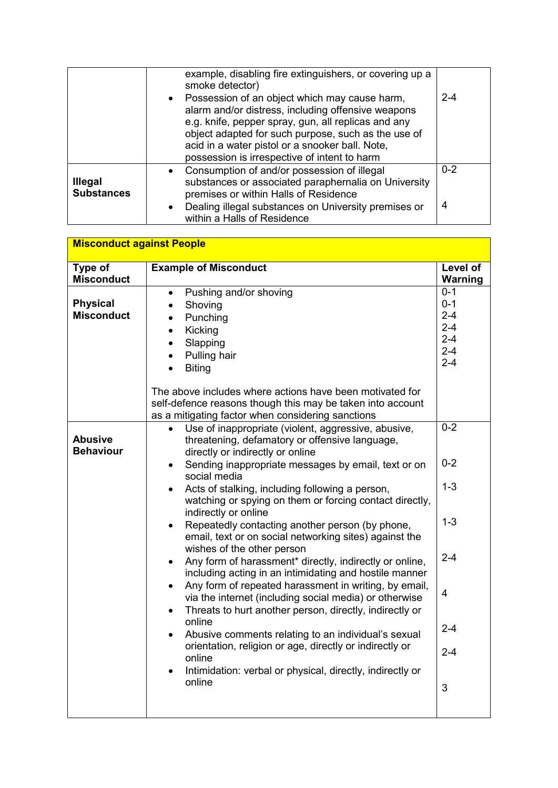|                                     | example, disabling fire extinguishers, or covering up a<br>smoke detector)                                                                                                                                                                                                                                                        |         |
|-------------------------------------|-----------------------------------------------------------------------------------------------------------------------------------------------------------------------------------------------------------------------------------------------------------------------------------------------------------------------------------|---------|
|                                     | Possession of an object which may cause harm,<br>$\bullet$<br>alarm and/or distress, including offensive weapons<br>e.g. knife, pepper spray, gun, all replicas and any<br>object adapted for such purpose, such as the use of<br>acid in a water pistol or a snooker ball. Note,<br>possession is irrespective of intent to harm | $2 - 4$ |
| <b>Illegal</b><br><b>Substances</b> | Consumption of and/or possession of illegal<br>substances or associated paraphernalia on University<br>premises or within Halls of Residence                                                                                                                                                                                      | $0 - 2$ |
|                                     | Dealing illegal substances on University premises or<br>$\bullet$<br>within a Halls of Residence                                                                                                                                                                                                                                  | 4       |

|                                      | <b>Misconduct against People</b>                                                                                                                                                                                                                                                                                            |                                                                           |  |
|--------------------------------------|-----------------------------------------------------------------------------------------------------------------------------------------------------------------------------------------------------------------------------------------------------------------------------------------------------------------------------|---------------------------------------------------------------------------|--|
| Type of<br><b>Misconduct</b>         | <b>Example of Misconduct</b>                                                                                                                                                                                                                                                                                                | Level of<br><b>Warning</b>                                                |  |
| <b>Physical</b><br><b>Misconduct</b> | Pushing and/or shoving<br>$\bullet$<br>Shoving<br>Punching<br>Kicking<br>$\bullet$<br>Slapping<br>Pulling hair<br><b>Biting</b><br>$\bullet$<br>The above includes where actions have been motivated for<br>self-defence reasons though this may be taken into account<br>as a mitigating factor when considering sanctions | $0 - 1$<br>$0 - 1$<br>$2 - 4$<br>$2 - 4$<br>$2 - 4$<br>$2 - 4$<br>$2 - 4$ |  |
| <b>Abusive</b><br><b>Behaviour</b>   | Use of inappropriate (violent, aggressive, abusive,<br>$\bullet$<br>threatening, defamatory or offensive language,<br>directly or indirectly or online                                                                                                                                                                      | $0 - 2$<br>$0 - 2$                                                        |  |
|                                      | Sending inappropriate messages by email, text or on<br>$\bullet$<br>social media<br>Acts of stalking, including following a person,<br>watching or spying on them or forcing contact directly,<br>indirectly or online                                                                                                      | $1 - 3$                                                                   |  |
|                                      | Repeatedly contacting another person (by phone,<br>$\bullet$<br>email, text or on social networking sites) against the<br>wishes of the other person                                                                                                                                                                        | $1 - 3$                                                                   |  |
|                                      | Any form of harassment* directly, indirectly or online,<br>including acting in an intimidating and hostile manner<br>Any form of repeated harassment in writing, by email,                                                                                                                                                  | $2 - 4$                                                                   |  |
|                                      | via the internet (including social media) or otherwise<br>Threats to hurt another person, directly, indirectly or<br>$\bullet$<br>online                                                                                                                                                                                    | $\overline{4}$                                                            |  |
|                                      | Abusive comments relating to an individual's sexual<br>$\bullet$<br>orientation, religion or age, directly or indirectly or                                                                                                                                                                                                 | $2 - 4$<br>$2 - 4$                                                        |  |
|                                      | online<br>Intimidation: verbal or physical, directly, indirectly or<br>online                                                                                                                                                                                                                                               | 3                                                                         |  |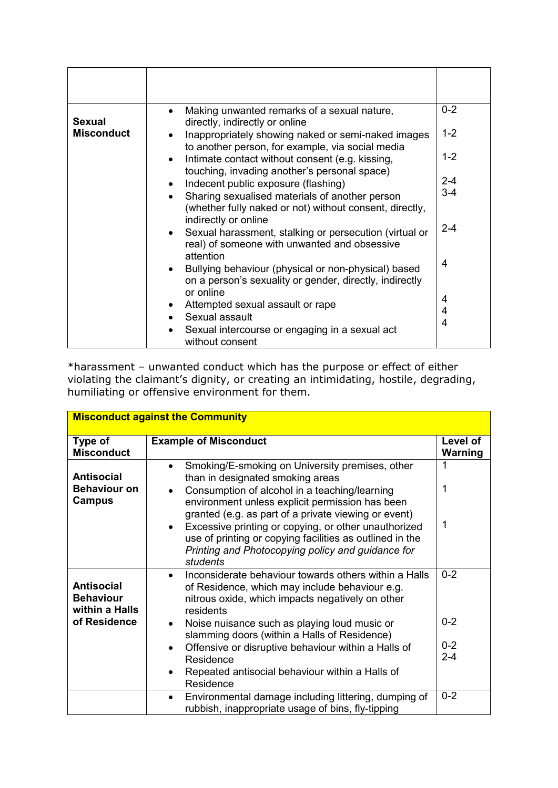| <b>Sexual</b>     | Making unwanted remarks of a sexual nature,<br>directly, indirectly or online                                                  | $0 - 2$ |
|-------------------|--------------------------------------------------------------------------------------------------------------------------------|---------|
| <b>Misconduct</b> | Inappropriately showing naked or semi-naked images<br>to another person, for example, via social media                         | $1 - 2$ |
|                   | Intimate contact without consent (e.g. kissing,<br>$\bullet$                                                                   | $1 - 2$ |
|                   | touching, invading another's personal space)<br>Indecent public exposure (flashing)                                            | $2 - 4$ |
|                   | Sharing sexualised materials of another person<br>$\bullet$<br>(whether fully naked or not) without consent, directly,         | $3 - 4$ |
|                   | indirectly or online<br>Sexual harassment, stalking or persecution (virtual or<br>real) of someone with unwanted and obsessive | $2 - 4$ |
|                   | attention<br>Bullying behaviour (physical or non-physical) based<br>on a person's sexuality or gender, directly, indirectly    | 4       |
|                   | or online<br>Attempted sexual assault or rape<br>Sexual assault                                                                | 4<br>4  |
|                   | Sexual intercourse or engaging in a sexual act<br>without consent                                                              | 4       |

\*harassment – unwanted conduct which has the purpose or effect of either violating the claimant's dignity, or creating an intimidating, hostile, degrading, humiliating or offensive environment for them.

| <b>Misconduct against the Community</b>                   |                                                                                                                                                                                                                                                                                                                                                                                                                                                                             |                            |
|-----------------------------------------------------------|-----------------------------------------------------------------------------------------------------------------------------------------------------------------------------------------------------------------------------------------------------------------------------------------------------------------------------------------------------------------------------------------------------------------------------------------------------------------------------|----------------------------|
| Type of<br><b>Misconduct</b>                              | <b>Example of Misconduct</b>                                                                                                                                                                                                                                                                                                                                                                                                                                                | Level of<br><b>Warning</b> |
| <b>Antisocial</b><br><b>Behaviour on</b><br><b>Campus</b> | Smoking/E-smoking on University premises, other<br>$\bullet$<br>than in designated smoking areas<br>Consumption of alcohol in a teaching/learning<br>$\bullet$<br>environment unless explicit permission has been<br>granted (e.g. as part of a private viewing or event)<br>Excessive printing or copying, or other unauthorized<br>$\bullet$<br>use of printing or copying facilities as outlined in the<br>Printing and Photocopying policy and guidance for<br>students | 1<br>1                     |
| <b>Antisocial</b><br><b>Behaviour</b><br>within a Halls   | Inconsiderate behaviour towards others within a Halls<br>$\bullet$<br>of Residence, which may include behaviour e.g.<br>nitrous oxide, which impacts negatively on other<br>residents                                                                                                                                                                                                                                                                                       | $0 - 2$                    |
| of Residence                                              | Noise nuisance such as playing loud music or<br>$\bullet$<br>slamming doors (within a Halls of Residence)                                                                                                                                                                                                                                                                                                                                                                   | $0 - 2$                    |
|                                                           | Offensive or disruptive behaviour within a Halls of<br>$\bullet$<br>Residence<br>Repeated antisocial behaviour within a Halls of<br>$\bullet$                                                                                                                                                                                                                                                                                                                               | $0 - 2$<br>$2 - 4$         |
|                                                           | Residence                                                                                                                                                                                                                                                                                                                                                                                                                                                                   |                            |
|                                                           | Environmental damage including littering, dumping of<br>$\bullet$<br>rubbish, inappropriate usage of bins, fly-tipping                                                                                                                                                                                                                                                                                                                                                      | $0 - 2$                    |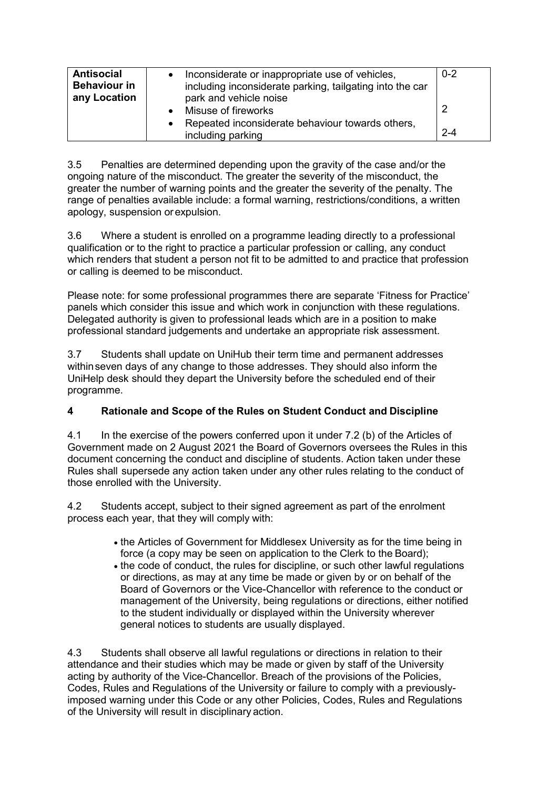| <b>Antisocial</b><br><b>Behaviour in</b><br>any Location | Inconsiderate or inappropriate use of vehicles,<br>including inconsiderate parking, tailgating into the car<br>park and vehicle noise | $0 - 2$ |
|----------------------------------------------------------|---------------------------------------------------------------------------------------------------------------------------------------|---------|
|                                                          | Misuse of fireworks                                                                                                                   | 2       |
|                                                          | Repeated inconsiderate behaviour towards others,<br>including parking                                                                 | $2 - 4$ |

3.5 Penalties are determined depending upon the gravity of the case and/or the ongoing nature of the misconduct. The greater the severity of the misconduct, the greater the number of warning points and the greater the severity of the penalty. The range of penalties available include: a formal warning, restrictions/conditions, a written apology, suspension orexpulsion.

3.6 Where a student is enrolled on a programme leading directly to a professional qualification or to the right to practice a particular profession or calling, any conduct which renders that student a person not fit to be admitted to and practice that profession or calling is deemed to be misconduct.

Please note: for some professional programmes there are separate 'Fitness for Practice' panels which consider this issue and which work in conjunction with these regulations. Delegated authority is given to professional leads which are in a position to make professional standard judgements and undertake an appropriate risk assessment.

3.7 Students shall update on UniHub their term time and permanent addresses withinseven days of any change to those addresses. They should also inform the UniHelp desk should they depart the University before the scheduled end of their programme.

## **4 Rationale and Scope of the Rules on Student Conduct and Discipline**

4.1 In the exercise of the powers conferred upon it under 7.2 (b) of the Articles of Government made on 2 August 2021 the Board of Governors oversees the Rules in this document concerning the conduct and discipline of students. Action taken under these Rules shall supersede any action taken under any other rules relating to the conduct of those enrolled with the University.

4.2 Students accept, subject to their signed agreement as part of the enrolment process each year, that they will comply with:

- the Articles of Government for Middlesex University as for the time being in force (a copy may be seen on application to the Clerk to the Board);
- the code of conduct, the rules for discipline, or such other lawful regulations or directions, as may at any time be made or given by or on behalf of the Board of Governors or the Vice-Chancellor with reference to the conduct or management of the University, being regulations or directions, either notified to the student individually or displayed within the University wherever general notices to students are usually displayed.

4.3 Students shall observe all lawful regulations or directions in relation to their attendance and their studies which may be made or given by staff of the University acting by authority of the Vice-Chancellor. Breach of the provisions of the Policies, Codes, Rules and Regulations of the University or failure to comply with a previouslyimposed warning under this Code or any other Policies, Codes, Rules and Regulations of the University will result in disciplinary action.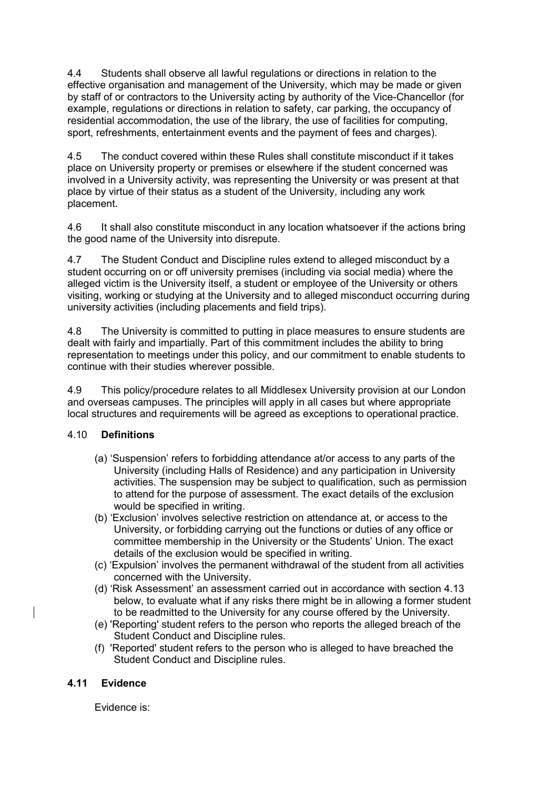4.4 Students shall observe all lawful regulations or directions in relation to the effective organisation and management of the University, which may be made or given by staff of or contractors to the University acting by authority of the Vice-Chancellor (for example, regulations or directions in relation to safety, car parking, the occupancy of residential accommodation, the use of the library, the use of facilities for computing, sport, refreshments, entertainment events and the payment of fees and charges).

4.5 The conduct covered within these Rules shall constitute misconduct if it takes place on University property or premises or elsewhere if the student concerned was involved in a University activity, was representing the University or was present at that place by virtue of their status as a student of the University, including any work placement.

4.6 It shall also constitute misconduct in any location whatsoever if the actions bring the good name of the University into disrepute.

4.7 The Student Conduct and Discipline rules extend to alleged misconduct by a student occurring on or off university premises (including via social media) where the alleged victim is the University itself, a student or employee of the University or others visiting, working or studying at the University and to alleged misconduct occurring during university activities (including placements and field trips).

4.8 The University is committed to putting in place measures to ensure students are dealt with fairly and impartially. Part of this commitment includes the ability to bring representation to meetings under this policy, and our commitment to enable students to continue with their studies wherever possible.

4.9 This policy/procedure relates to all Middlesex University provision at our London and overseas campuses. The principles will apply in all cases but where appropriate local structures and requirements will be agreed as exceptions to operational practice.

#### 4.10 **Definitions**

- (a) 'Suspension' refers to forbidding attendance at/or access to any parts of the University (including Halls of Residence) and any participation in University activities. The suspension may be subject to qualification, such as permission to attend for the purpose of assessment. The exact details of the exclusion would be specified in writing.
- (b) 'Exclusion' involves selective restriction on attendance at, or access to the University, or forbidding carrying out the functions or duties of any office or committee membership in the University or the Students' Union. The exact details of the exclusion would be specified in writing.
- (c) 'Expulsion' involves the permanent withdrawal of the student from all activities concerned with the University.
- (d) 'Risk Assessment' an assessment carried out in accordance with section 4.13 below, to evaluate what if any risks there might be in allowing a former student to be readmitted to the University for any course offered by the University.
- (e) 'Reporting' student refers to the person who reports the alleged breach of the Student Conduct and Discipline rules.
- (f) 'Reported' student refers to the person who is alleged to have breached the Student Conduct and Discipline rules.

## **4.11 Evidence**

Evidence is: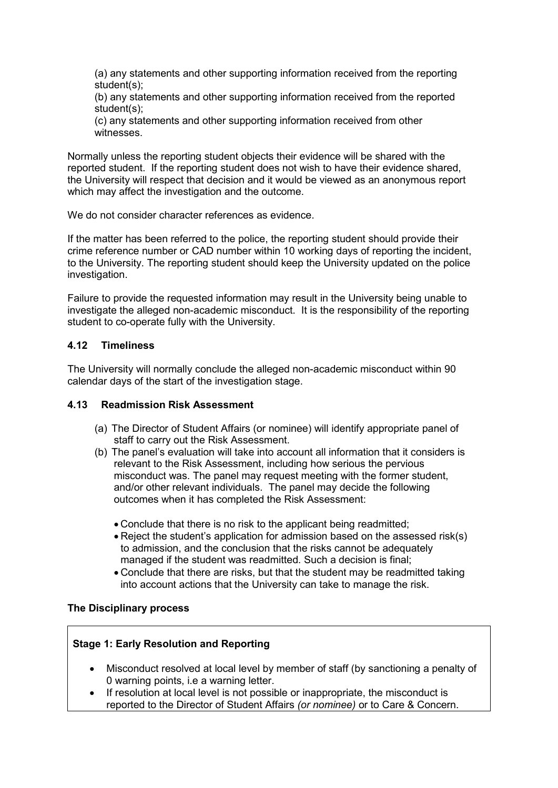(a) any statements and other supporting information received from the reporting student(s);

(b) any statements and other supporting information received from the reported student(s);

(c) any statements and other supporting information received from other witnesses.

Normally unless the reporting student objects their evidence will be shared with the reported student. If the reporting student does not wish to have their evidence shared, the University will respect that decision and it would be viewed as an anonymous report which may affect the investigation and the outcome.

We do not consider character references as evidence.

If the matter has been referred to the police, the reporting student should provide their crime reference number or CAD number within 10 working days of reporting the incident, to the University. The reporting student should keep the University updated on the police investigation.

Failure to provide the requested information may result in the University being unable to investigate the alleged non-academic misconduct. It is the responsibility of the reporting student to co-operate fully with the University.

#### **4.12 Timeliness**

The University will normally conclude the alleged non-academic misconduct within 90 calendar days of the start of the investigation stage.

#### **4.13 Readmission Risk Assessment**

- (a) The Director of Student Affairs (or nominee) will identify appropriate panel of staff to carry out the Risk Assessment.
- (b) The panel's evaluation will take into account all information that it considers is relevant to the Risk Assessment, including how serious the pervious misconduct was. The panel may request meeting with the former student, and/or other relevant individuals. The panel may decide the following outcomes when it has completed the Risk Assessment:
	- Conclude that there is no risk to the applicant being readmitted;
	- Reject the student's application for admission based on the assessed risk(s) to admission, and the conclusion that the risks cannot be adequately managed if the student was readmitted. Such a decision is final;
	- Conclude that there are risks, but that the student may be readmitted taking into account actions that the University can take to manage the risk.

#### **The Disciplinary process**

#### **Stage 1: Early Resolution and Reporting**

- Misconduct resolved at local level by member of staff (by sanctioning a penalty of 0 warning points, i.e a warning letter.
- If resolution at local level is not possible or inappropriate, the misconduct is reported to the Director of Student Affairs *(or nominee)* or to Care & Concern.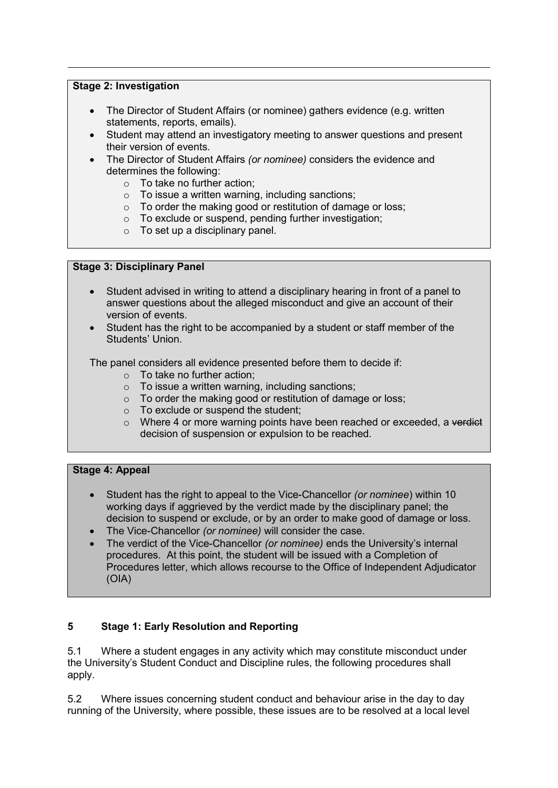### **Stage 2: Investigation**

- The Director of Student Affairs (or nominee) gathers evidence (e.g. written statements, reports, emails).
- Student may attend an investigatory meeting to answer questions and present their version of events.
- The Director of Student Affairs *(or nominee)* considers the evidence and determines the following:
	- o To take no further action;
	- o To issue a written warning, including sanctions;
	- o To order the making good or restitution of damage or loss;
	- o To exclude or suspend, pending further investigation;
	- $\circ$  To set up a disciplinary panel.

#### **Stage 3: Disciplinary Panel**

- Student advised in writing to attend a disciplinary hearing in front of a panel to answer questions about the alleged misconduct and give an account of their version of events.
- Student has the right to be accompanied by a student or staff member of the Students' Union.

The panel considers all evidence presented before them to decide if:

- o To take no further action;
- $\circ$  To issue a written warning, including sanctions;
- o To order the making good or restitution of damage or loss;
- o To exclude or suspend the student;
- $\circ$  Where 4 or more warning points have been reached or exceeded, a verdict decision of suspension or expulsion to be reached.

## **Stage 4: Appeal**

- Student has the right to appeal to the Vice-Chancellor *(or nominee*) within 10 working days if aggrieved by the verdict made by the disciplinary panel; the decision to suspend or exclude, or by an order to make good of damage or loss.
- The Vice-Chancellor *(or nominee)* will consider the case.
- The verdict of the Vice-Chancellor *(or nominee)* ends the University's internal procedures. At this point, the student will be issued with a Completion of Procedures letter, which allows recourse to the Office of Independent Adjudicator (OIA)

## **5 Stage 1: Early Resolution and Reporting**

5.1 Where a student engages in any activity which may constitute misconduct under the University's Student Conduct and Discipline rules, the following procedures shall apply.

5.2 Where issues concerning student conduct and behaviour arise in the day to day running of the University, where possible, these issues are to be resolved at a local level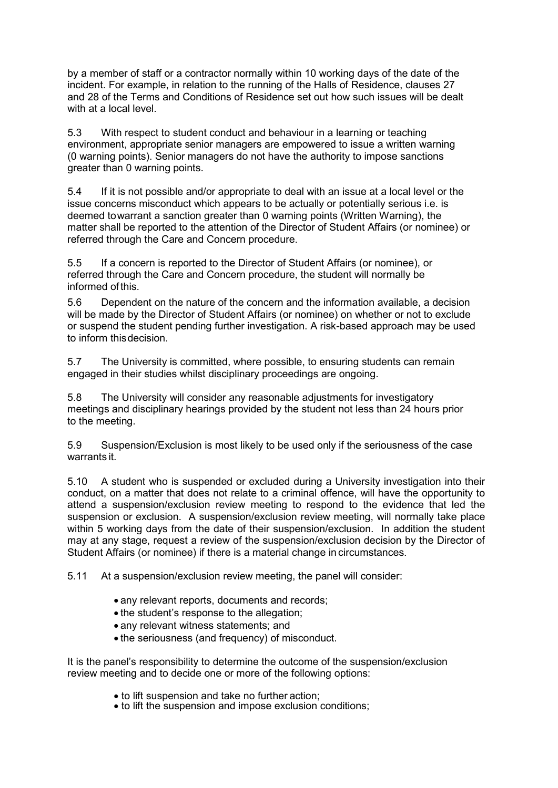by a member of staff or a contractor normally within 10 working days of the date of the incident. For example, in relation to the running of the Halls of Residence, clauses 27 and 28 of the Terms and Conditions of Residence set out how such issues will be dealt with at a local level.

5.3 With respect to student conduct and behaviour in a learning or teaching environment, appropriate senior managers are empowered to issue a written warning (0 warning points). Senior managers do not have the authority to impose sanctions greater than 0 warning points.

5.4 If it is not possible and/or appropriate to deal with an issue at a local level or the issue concerns misconduct which appears to be actually or potentially serious i.e. is deemed towarrant a sanction greater than 0 warning points (Written Warning), the matter shall be reported to the attention of the Director of Student Affairs (or nominee) or referred through the Care and Concern procedure.

5.5 If a concern is reported to the Director of Student Affairs (or nominee), or referred through the Care and Concern procedure, the student will normally be informed of this.

5.6 Dependent on the nature of the concern and the information available, a decision will be made by the Director of Student Affairs (or nominee) on whether or not to exclude or suspend the student pending further investigation. A risk-based approach may be used to inform thisdecision.

5.7 The University is committed, where possible, to ensuring students can remain engaged in their studies whilst disciplinary proceedings are ongoing.

5.8 The University will consider any reasonable adjustments for investigatory meetings and disciplinary hearings provided by the student not less than 24 hours prior to the meeting.

5.9 Suspension/Exclusion is most likely to be used only if the seriousness of the case warrants it.

5.10 A student who is suspended or excluded during a University investigation into their conduct, on a matter that does not relate to a criminal offence, will have the opportunity to attend a suspension/exclusion review meeting to respond to the evidence that led the suspension or exclusion. A suspension/exclusion review meeting, will normally take place within 5 working days from the date of their suspension/exclusion. In addition the student may at any stage, request a review of the suspension/exclusion decision by the Director of Student Affairs (or nominee) if there is a material change in circumstances.

5.11 At a suspension/exclusion review meeting, the panel will consider:

- any relevant reports, documents and records;
- the student's response to the allegation;
- any relevant witness statements; and
- the seriousness (and frequency) of misconduct.

It is the panel's responsibility to determine the outcome of the suspension/exclusion review meeting and to decide one or more of the following options:

- 
- to lift suspension and take no further action; to lift the suspension and impose exclusion conditions;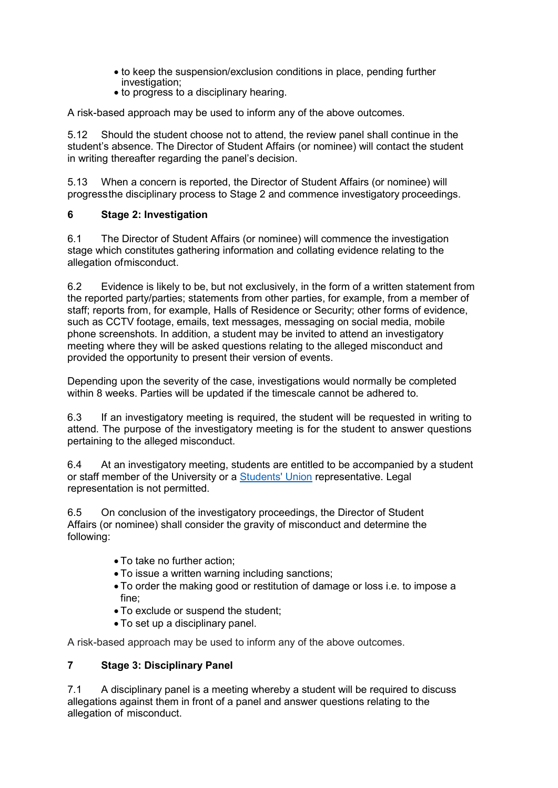- to keep the suspension/exclusion conditions in place, pending further investigation;
- to progress to a disciplinary hearing.

A risk-based approach may be used to inform any of the above outcomes.

5.12 Should the student choose not to attend, the review panel shall continue in the student's absence. The Director of Student Affairs (or nominee) will contact the student in writing thereafter regarding the panel's decision.

5.13 When a concern is reported, the Director of Student Affairs (or nominee) will progressthe disciplinary process to Stage 2 and commence investigatory proceedings.

### **6 Stage 2: Investigation**

6.1 The Director of Student Affairs (or nominee) will commence the investigation stage which constitutes gathering information and collating evidence relating to the allegation ofmisconduct.

6.2 Evidence is likely to be, but not exclusively, in the form of a written statement from the reported party/parties; statements from other parties, for example, from a member of staff; reports from, for example, Halls of Residence or Security; other forms of evidence, such as CCTV footage, emails, text messages, messaging on social media, mobile phone screenshots. In addition, a student may be invited to attend an investigatory meeting where they will be asked questions relating to the alleged misconduct and provided the opportunity to present their version of events.

Depending upon the severity of the case, investigations would normally be completed within 8 weeks. Parties will be updated if the timescale cannot be adhered to.

6.3 If an investigatory meeting is required, the student will be requested in writing to attend. The purpose of the investigatory meeting is for the student to answer questions pertaining to the alleged misconduct.

6.4 At an investigatory meeting, students are entitled to be accompanied by a student or staff member of the University or a [Students' Union](https://unihub.mdx.ac.uk/student-life/students-union) representative. Legal representation is not permitted.

6.5 On conclusion of the investigatory proceedings, the Director of Student Affairs (or nominee) shall consider the gravity of misconduct and determine the following:

- To take no further action;
- To issue a written warning including sanctions;
- To order the making good or restitution of damage or loss i.e. to impose a fine;
- To exclude or suspend the student;
- To set up a disciplinary panel.

A risk-based approach may be used to inform any of the above outcomes.

## **7 Stage 3: Disciplinary Panel**

7.1 A disciplinary panel is a meeting whereby a student will be required to discuss allegations against them in front of a panel and answer questions relating to the allegation of misconduct.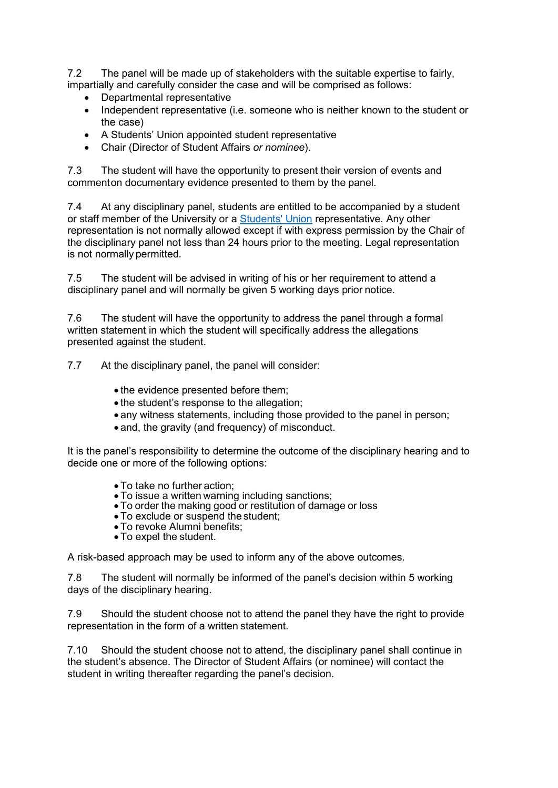7.2 The panel will be made up of stakeholders with the suitable expertise to fairly, impartially and carefully consider the case and will be comprised as follows:

- Departmental representative
- Independent representative (i.e. someone who is neither known to the student or the case)
- A Students' Union appointed student representative
- Chair (Director of Student Affairs *or nominee*).

7.3 The student will have the opportunity to present their version of events and commenton documentary evidence presented to them by the panel.

7.4 At any disciplinary panel, students are entitled to be accompanied by a student or staff member of the University or a [Students' Union](https://unihub.mdx.ac.uk/student-life/students-union) representative. Any other representation is not normally allowed except if with express permission by the Chair of the disciplinary panel not less than 24 hours prior to the meeting. Legal representation is not normally permitted.

7.5 The student will be advised in writing of his or her requirement to attend a disciplinary panel and will normally be given 5 working days prior notice.

7.6 The student will have the opportunity to address the panel through a formal written statement in which the student will specifically address the allegations presented against the student.

7.7 At the disciplinary panel, the panel will consider:

- the evidence presented before them;
- the student's response to the allegation;
- any witness statements, including those provided to the panel in person;
- and, the gravity (and frequency) of misconduct.

It is the panel's responsibility to determine the outcome of the disciplinary hearing and to decide one or more of the following options:

- 
- 
- To take no further action; To issue a written warning including sanctions; To order the making good or restitution of damage or loss To exclude or suspend the student;
- 
- To revoke Alumni benefits;
- To expel the student.

A risk-based approach may be used to inform any of the above outcomes.

7.8 The student will normally be informed of the panel's decision within 5 working days of the disciplinary hearing.

7.9 Should the student choose not to attend the panel they have the right to provide representation in the form of a written statement.

7.10 Should the student choose not to attend, the disciplinary panel shall continue in the student's absence. The Director of Student Affairs (or nominee) will contact the student in writing thereafter regarding the panel's decision.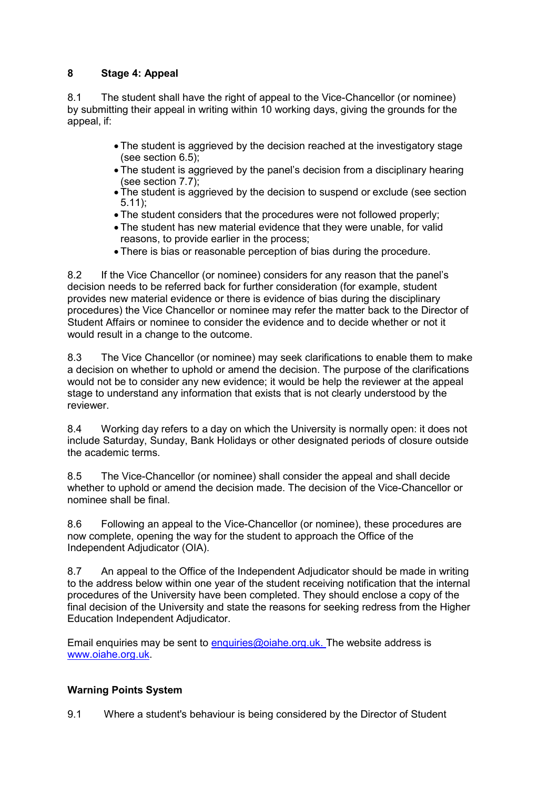# **8 Stage 4: Appeal**

8.1 The student shall have the right of appeal to the Vice-Chancellor (or nominee) by submitting their appeal in writing within 10 working days, giving the grounds for the appeal, if:

- The student is aggrieved by the decision reached at the investigatory stage (see section 6.5);
- The student is aggrieved by the panel's decision from a disciplinary hearing (see section 7.7);
- The student is aggrieved by the decision to suspend or exclude (see section 5.11);
- The student considers that the procedures were not followed properly;
- The student has new material evidence that they were unable, for valid reasons, to provide earlier in the process;
- There is bias or reasonable perception of bias during the procedure.

8.2 If the Vice Chancellor (or nominee) considers for any reason that the panel's decision needs to be referred back for further consideration (for example, student provides new material evidence or there is evidence of bias during the disciplinary procedures) the Vice Chancellor or nominee may refer the matter back to the Director of Student Affairs or nominee to consider the evidence and to decide whether or not it would result in a change to the outcome.

8.3 The Vice Chancellor (or nominee) may seek clarifications to enable them to make a decision on whether to uphold or amend the decision. The purpose of the clarifications would not be to consider any new evidence; it would be help the reviewer at the appeal stage to understand any information that exists that is not clearly understood by the reviewer.

8.4 Working day refers to a day on which the University is normally open: it does not include Saturday, Sunday, Bank Holidays or other designated periods of closure outside the academic terms.

8.5 The Vice-Chancellor (or nominee) shall consider the appeal and shall decide whether to uphold or amend the decision made. The decision of the Vice-Chancellor or nominee shall be final.

8.6 Following an appeal to the Vice-Chancellor (or nominee), these procedures are now complete, opening the way for the student to approach the Office of the Independent Adjudicator (OIA).

8.7 An appeal to the Office of the Independent Adjudicator should be made in writing to the address below within one year of the student receiving notification that the internal procedures of the University have been completed. They should enclose a copy of the final decision of the University and state the reasons for seeking redress from the Higher Education Independent Adjudicator.

Email enquiries may be sent to [enquiries@oiahe.org.uk.](mailto:enquiries@oiahe.org.uk) The website address is [www.oiahe.org.uk.](http://www.oiahe.org.uk/)

## **Warning Points System**

9.1 Where a student's behaviour is being considered by the Director of Student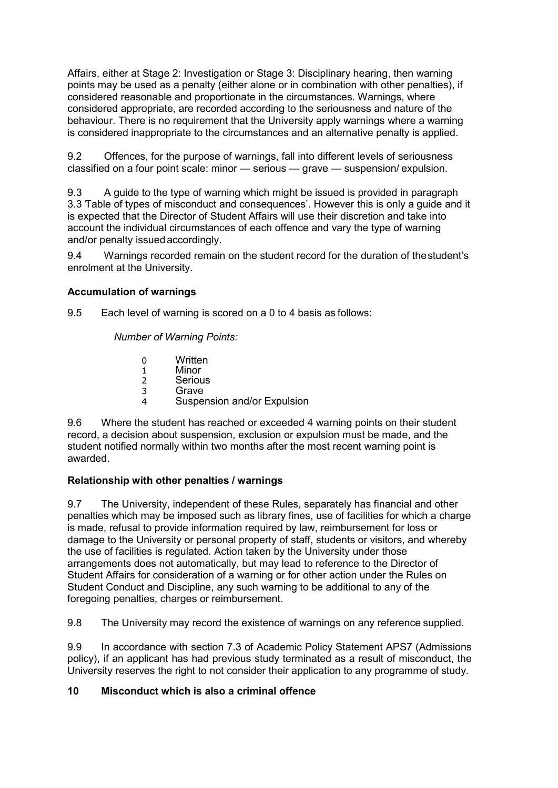Affairs, either at Stage 2: Investigation or Stage 3: Disciplinary hearing, then warning points may be used as a penalty (either alone or in combination with other penalties), if considered reasonable and proportionate in the circumstances. Warnings, where considered appropriate, are recorded according to the seriousness and nature of the behaviour. There is no requirement that the University apply warnings where a warning is considered inappropriate to the circumstances and an alternative penalty is applied.

9.2 Offences, for the purpose of warnings, fall into different levels of seriousness classified on a four point scale: minor — serious — grave — suspension/ expulsion.

9.3 A guide to the type of warning which might be issued is provided in paragraph 3.3 'Table of types of misconduct and consequences'. However this is only a guide and it is expected that the Director of Student Affairs will use their discretion and take into account the individual circumstances of each offence and vary the type of warning and/or penalty issuedaccordingly.

9.4 Warnings recorded remain on the student record for the duration of thestudent's enrolment at the University.

## **Accumulation of warnings**

9.5 Each level of warning is scored on a 0 to 4 basis as follows:

*Number of Warning Points:*

- 0 Written
- 1 Minor<br>2 Seriou
- **Serious** 3 Grave
- 4 Suspension and/or Expulsion

9.6 Where the student has reached or exceeded 4 warning points on their student record, a decision about suspension, exclusion or expulsion must be made, and the student notified normally within two months after the most recent warning point is awarded.

## **Relationship with other penalties / warnings**

9.7 The University, independent of these Rules, separately has financial and other penalties which may be imposed such as library fines, use of facilities for which a charge is made, refusal to provide information required by law, reimbursement for loss or damage to the University or personal property of staff, students or visitors, and whereby the use of facilities is regulated. Action taken by the University under those arrangements does not automatically, but may lead to reference to the Director of Student Affairs for consideration of a warning or for other action under the Rules on Student Conduct and Discipline, any such warning to be additional to any of the foregoing penalties, charges or reimbursement.

9.8 The University may record the existence of warnings on any reference supplied.

9.9 In accordance with section 7.3 of Academic Policy Statement APS7 (Admissions policy), if an applicant has had previous study terminated as a result of misconduct, the University reserves the right to not consider their application to any programme of study.

#### **10 Misconduct which is also a criminal offence**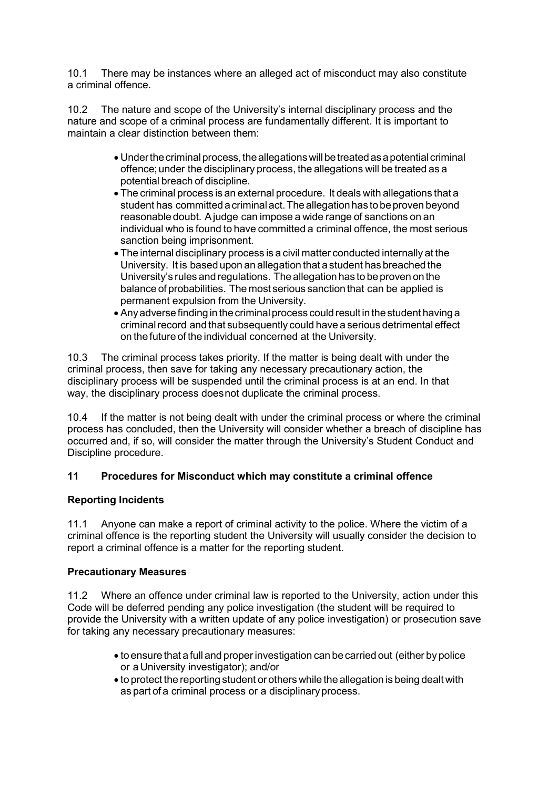10.1 There may be instances where an alleged act of misconduct may also constitute a criminal offence.

10.2 The nature and scope of the University's internal disciplinary process and the nature and scope of a criminal process are fundamentally different. It is important to maintain a clear distinction between them:

- Under the criminal process, the allegations will be treated as a potential criminal offence;under the disciplinary process, the allegations will be treated as a potential breach of discipline.
- The criminal process is an external procedure. It deals with allegations that a student has committed acriminalact.The allegation has to be proven beyond reasonable doubt. Ajudge can impose a wide range of sanctions on an individual who is found to have committed a criminal offence, the most serious sanction being imprisonment.
- The internal disciplinary process is a civil matter conducted internally at the University. It is based upon an allegation that a student has breached the University's rules and regulations. The allegation has to be proven on the balance of probabilities. The most serious sanction that can be applied is permanent expulsion from the University.
- Any adverse finding in the criminal process could result in the student having a criminalrecord and that subsequently could have a serious detrimental effect on the future of the individual concerned at the University.

10.3 The criminal process takes priority. If the matter is being dealt with under the criminal process, then save for taking any necessary precautionary action, the disciplinary process will be suspended until the criminal process is at an end. In that way, the disciplinary process doesnot duplicate the criminal process.

10.4 If the matter is not being dealt with under the criminal process or where the criminal process has concluded, then the University will consider whether a breach of discipline has occurred and, if so, will consider the matter through the University's Student Conduct and Discipline procedure.

## **11 Procedures for Misconduct which may constitute a criminal offence**

#### **Reporting Incidents**

11.1 Anyone can make a report of criminal activity to the police. Where the victim of a criminal offence is the reporting student the University will usually consider the decision to report a criminal offence is a matter for the reporting student.

#### **Precautionary Measures**

11.2 Where an offence under criminal law is reported to the University, action under this Code will be deferred pending any police investigation (the student will be required to provide the University with a written update of any police investigation) or prosecution save for taking any necessary precautionary measures:

- to ensure that a full and proper investigation can becarried out (either by police or a University investigator); and/or
- to protect the reporting student or others while the allegation is being dealt with as part of a criminal process or a disciplinaryprocess.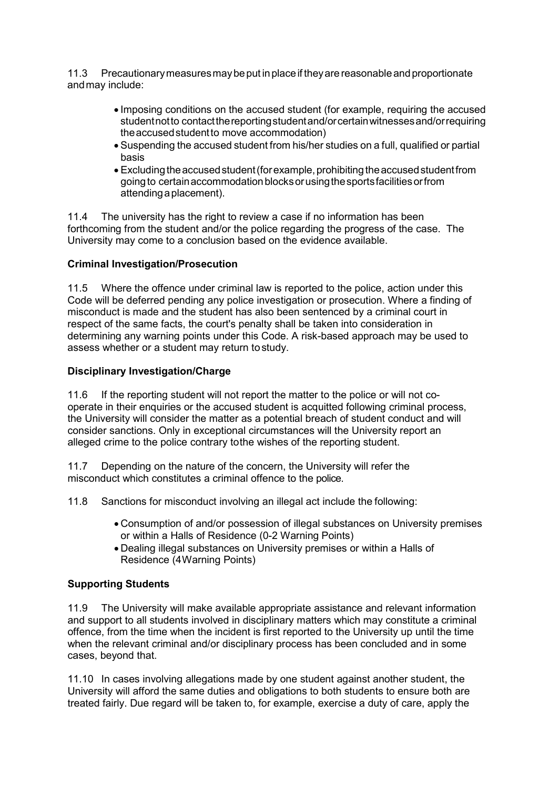11.3 Precautionarymeasuresmaybeput inplaceif theyare reasonableandproportionate andmay include:

- Imposing conditions on the accused student (for example, requiring the accused studentnotto contactthereportingstudentand/orcertainwitnessesand/orrequiring theaccusedstudentto move accommodation)
- Suspending the accused student from his/her studies on a full, qualified or partial basis
- Excluding the accused student (for example, prohibiting the accused student from going to certain accommodation blocks or using the sports facilities or from attendingaplacement).

11.4 The university has the right to review a case if no information has been forthcoming from the student and/or the police regarding the progress of the case. The University may come to a conclusion based on the evidence available.

### **Criminal Investigation/Prosecution**

11.5 Where the offence under criminal law is reported to the police, action under this Code will be deferred pending any police investigation or prosecution. Where a finding of misconduct is made and the student has also been sentenced by a criminal court in respect of the same facts, the court's penalty shall be taken into consideration in determining any warning points under this Code. A risk-based approach may be used to assess whether or a student may return tostudy.

#### **Disciplinary Investigation/Charge**

11.6 If the reporting student will not report the matter to the police or will not cooperate in their enquiries or the accused student is acquitted following criminal process, the University will consider the matter as a potential breach of student conduct and will consider sanctions. Only in exceptional circumstances will the University report an alleged crime to the police contrary tothe wishes of the reporting student.

11.7 Depending on the nature of the concern, the University will refer the misconduct which constitutes a criminal offence to the police.

11.8 Sanctions for misconduct involving an illegal act include the following:

- Consumption of and/or possession of illegal substances on University premises or within a Halls of Residence (0-2 Warning Points)
- Dealing illegal substances on University premises or within a Halls of Residence (4Warning Points)

## **Supporting Students**

11.9 The University will make available appropriate assistance and relevant information and support to all students involved in disciplinary matters which may constitute a criminal offence, from the time when the incident is first reported to the University up until the time when the relevant criminal and/or disciplinary process has been concluded and in some cases, beyond that.

11.10 In cases involving allegations made by one student against another student, the University will afford the same duties and obligations to both students to ensure both are treated fairly. Due regard will be taken to, for example, exercise a duty of care, apply the